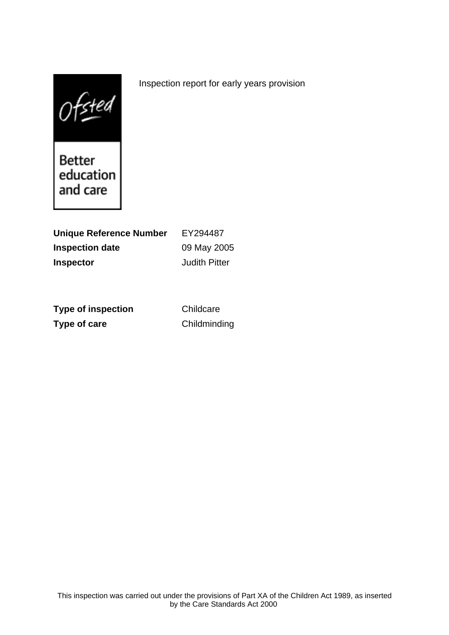$0$ f $\leq$ ted

Better<br>education and care

| <b>Unique Reference Number</b> | EY294487             |
|--------------------------------|----------------------|
| <b>Inspection date</b>         | 09 May 2005          |
| <b>Inspector</b>               | <b>Judith Pitter</b> |

**Type of inspection** Childcare **Type of care** Childminding

Inspection report for early years provision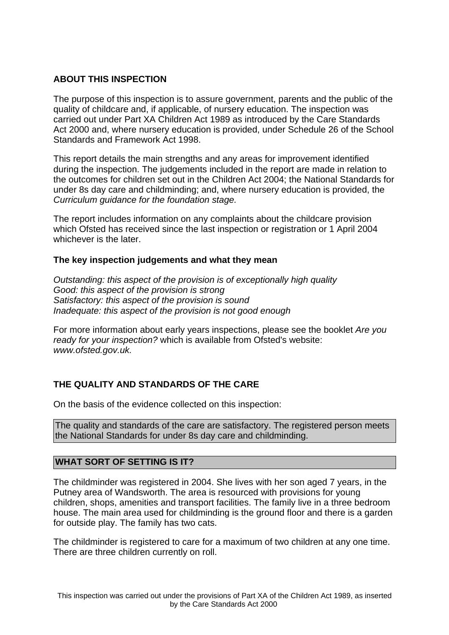### **ABOUT THIS INSPECTION**

The purpose of this inspection is to assure government, parents and the public of the quality of childcare and, if applicable, of nursery education. The inspection was carried out under Part XA Children Act 1989 as introduced by the Care Standards Act 2000 and, where nursery education is provided, under Schedule 26 of the School Standards and Framework Act 1998.

This report details the main strengths and any areas for improvement identified during the inspection. The judgements included in the report are made in relation to the outcomes for children set out in the Children Act 2004; the National Standards for under 8s day care and childminding; and, where nursery education is provided, the Curriculum guidance for the foundation stage.

The report includes information on any complaints about the childcare provision which Ofsted has received since the last inspection or registration or 1 April 2004 whichever is the later.

### **The key inspection judgements and what they mean**

Outstanding: this aspect of the provision is of exceptionally high quality Good: this aspect of the provision is strong Satisfactory: this aspect of the provision is sound Inadequate: this aspect of the provision is not good enough

For more information about early years inspections, please see the booklet Are you ready for your inspection? which is available from Ofsted's website: www.ofsted.gov.uk.

## **THE QUALITY AND STANDARDS OF THE CARE**

On the basis of the evidence collected on this inspection:

The quality and standards of the care are satisfactory. The registered person meets the National Standards for under 8s day care and childminding.

### **WHAT SORT OF SETTING IS IT?**

The childminder was registered in 2004. She lives with her son aged 7 years, in the Putney area of Wandsworth. The area is resourced with provisions for young children, shops, amenities and transport facilities. The family live in a three bedroom house. The main area used for childminding is the ground floor and there is a garden for outside play. The family has two cats.

The childminder is registered to care for a maximum of two children at any one time. There are three children currently on roll.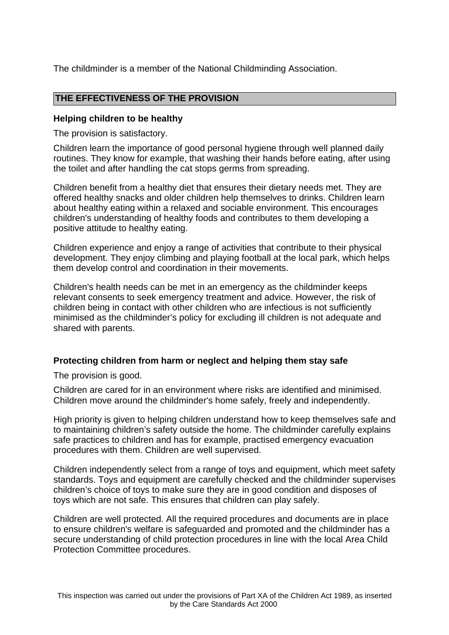The childminder is a member of the National Childminding Association.

### **THE EFFECTIVENESS OF THE PROVISION**

### **Helping children to be healthy**

The provision is satisfactory.

Children learn the importance of good personal hygiene through well planned daily routines. They know for example, that washing their hands before eating, after using the toilet and after handling the cat stops germs from spreading.

Children benefit from a healthy diet that ensures their dietary needs met. They are offered healthy snacks and older children help themselves to drinks. Children learn about healthy eating within a relaxed and sociable environment. This encourages children's understanding of healthy foods and contributes to them developing a positive attitude to healthy eating.

Children experience and enjoy a range of activities that contribute to their physical development. They enjoy climbing and playing football at the local park, which helps them develop control and coordination in their movements.

Children's health needs can be met in an emergency as the childminder keeps relevant consents to seek emergency treatment and advice. However, the risk of children being in contact with other children who are infectious is not sufficiently minimised as the childminder's policy for excluding ill children is not adequate and shared with parents.

## **Protecting children from harm or neglect and helping them stay safe**

The provision is good.

Children are cared for in an environment where risks are identified and minimised. Children move around the childminder's home safely, freely and independently.

High priority is given to helping children understand how to keep themselves safe and to maintaining children's safety outside the home. The childminder carefully explains safe practices to children and has for example, practised emergency evacuation procedures with them. Children are well supervised.

Children independently select from a range of toys and equipment, which meet safety standards. Toys and equipment are carefully checked and the childminder supervises children's choice of toys to make sure they are in good condition and disposes of toys which are not safe. This ensures that children can play safely.

Children are well protected. All the required procedures and documents are in place to ensure children's welfare is safeguarded and promoted and the childminder has a secure understanding of child protection procedures in line with the local Area Child Protection Committee procedures.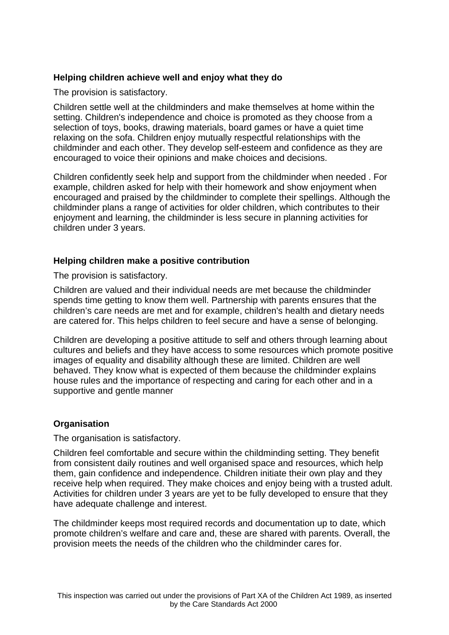## **Helping children achieve well and enjoy what they do**

The provision is satisfactory.

Children settle well at the childminders and make themselves at home within the setting. Children's independence and choice is promoted as they choose from a selection of toys, books, drawing materials, board games or have a quiet time relaxing on the sofa. Children enjoy mutually respectful relationships with the childminder and each other. They develop self-esteem and confidence as they are encouraged to voice their opinions and make choices and decisions.

Children confidently seek help and support from the childminder when needed . For example, children asked for help with their homework and show enjoyment when encouraged and praised by the childminder to complete their spellings. Although the childminder plans a range of activities for older children, which contributes to their enjoyment and learning, the childminder is less secure in planning activities for children under 3 years.

### **Helping children make a positive contribution**

The provision is satisfactory.

Children are valued and their individual needs are met because the childminder spends time getting to know them well. Partnership with parents ensures that the children's care needs are met and for example, children's health and dietary needs are catered for. This helps children to feel secure and have a sense of belonging.

Children are developing a positive attitude to self and others through learning about cultures and beliefs and they have access to some resources which promote positive images of equality and disability although these are limited. Children are well behaved. They know what is expected of them because the childminder explains house rules and the importance of respecting and caring for each other and in a supportive and gentle manner

### **Organisation**

The organisation is satisfactory.

Children feel comfortable and secure within the childminding setting. They benefit from consistent daily routines and well organised space and resources, which help them, gain confidence and independence. Children initiate their own play and they receive help when required. They make choices and enjoy being with a trusted adult. Activities for children under 3 years are yet to be fully developed to ensure that they have adequate challenge and interest.

The childminder keeps most required records and documentation up to date, which promote children's welfare and care and, these are shared with parents. Overall, the provision meets the needs of the children who the childminder cares for.